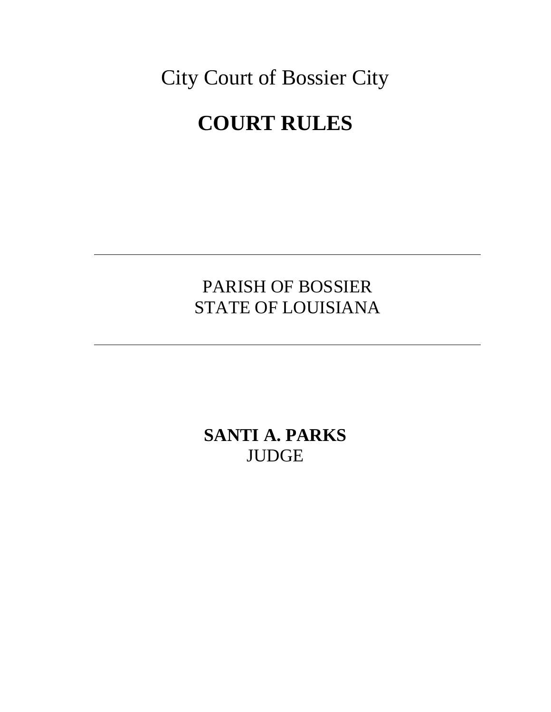City Court of Bossier City **COURT RULES**

> PARISH OF BOSSIER STATE OF LOUISIANA

**SANTI A. PARKS** JUDGE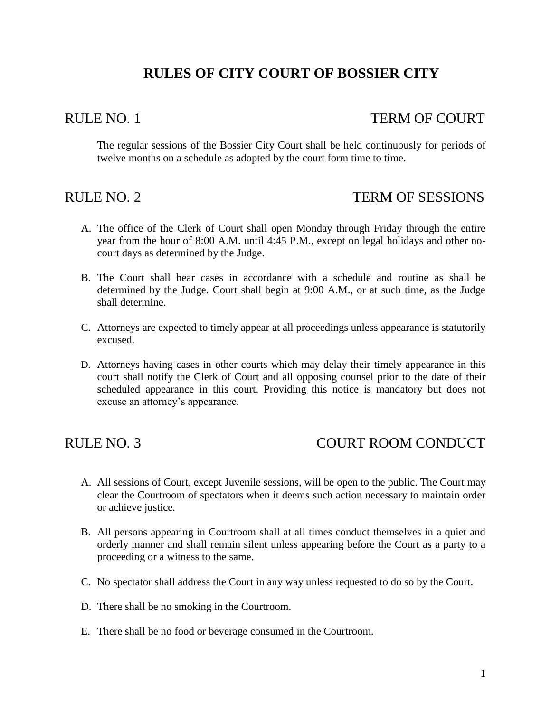# **RULES OF CITY COURT OF BOSSIER CITY**

### RULE NO. 1 TERM OF COURT

The regular sessions of the Bossier City Court shall be held continuously for periods of twelve months on a schedule as adopted by the court form time to time.

### RULE NO. 2 TERM OF SESSIONS

- A. The office of the Clerk of Court shall open Monday through Friday through the entire year from the hour of 8:00 A.M. until 4:45 P.M., except on legal holidays and other nocourt days as determined by the Judge.
- B. The Court shall hear cases in accordance with a schedule and routine as shall be determined by the Judge. Court shall begin at 9:00 A.M., or at such time, as the Judge shall determine.
- C. Attorneys are expected to timely appear at all proceedings unless appearance is statutorily excused.
- D. Attorneys having cases in other courts which may delay their timely appearance in this court shall notify the Clerk of Court and all opposing counsel prior to the date of their scheduled appearance in this court. Providing this notice is mandatory but does not excuse an attorney's appearance.

## RULE NO. 3 COURT ROOM CONDUCT

- A. All sessions of Court, except Juvenile sessions, will be open to the public. The Court may clear the Courtroom of spectators when it deems such action necessary to maintain order or achieve justice.
- B. All persons appearing in Courtroom shall at all times conduct themselves in a quiet and orderly manner and shall remain silent unless appearing before the Court as a party to a proceeding or a witness to the same.
- C. No spectator shall address the Court in any way unless requested to do so by the Court.
- D. There shall be no smoking in the Courtroom.
- E. There shall be no food or beverage consumed in the Courtroom.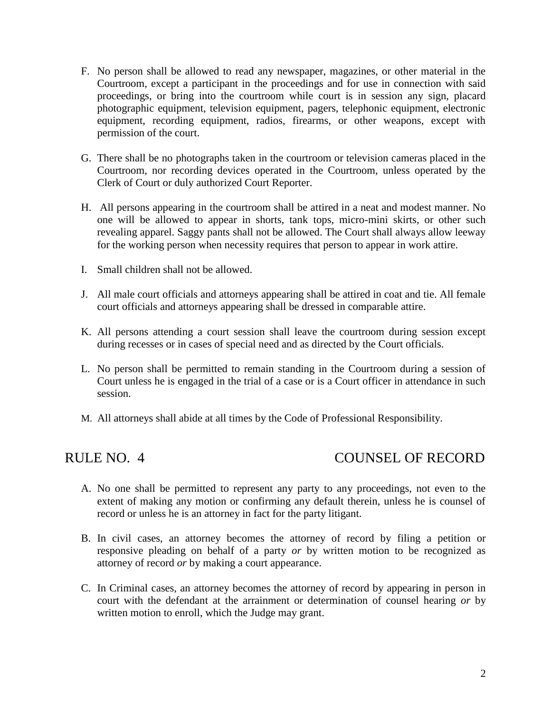- F. No person shall be allowed to read any newspaper, magazines, or other material in the Courtroom, except a participant in the proceedings and for use in connection with said proceedings, or bring into the courtroom while court is in session any sign, placard photographic equipment, television equipment, pagers, telephonic equipment, electronic equipment, recording equipment, radios, firearms, or other weapons, except with permission of the court.
- G. There shall be no photographs taken in the courtroom or television cameras placed in the Courtroom, nor recording devices operated in the Courtroom, unless operated by the Clerk of Court or duly authorized Court Reporter.
- H. All persons appearing in the courtroom shall be attired in a neat and modest manner. No one will be allowed to appear in shorts, tank tops, micro-mini skirts, or other such revealing apparel. Saggy pants shall not be allowed. The Court shall always allow leeway for the working person when necessity requires that person to appear in work attire.
- I. Small children shall not be allowed.
- J. All male court officials and attorneys appearing shall be attired in coat and tie. All female court officials and attorneys appearing shall be dressed in comparable attire.
- K. All persons attending a court session shall leave the courtroom during session except during recesses or in cases of special need and as directed by the Court officials.
- L. No person shall be permitted to remain standing in the Courtroom during a session of Court unless he is engaged in the trial of a case or is a Court officer in attendance in such session.
- M. All attorneys shall abide at all times by the Code of Professional Responsibility.

## RULE NO. 4 COUNSEL OF RECORD

- A. No one shall be permitted to represent any party to any proceedings, not even to the extent of making any motion or confirming any default therein, unless he is counsel of record or unless he is an attorney in fact for the party litigant.
- B. In civil cases, an attorney becomes the attorney of record by filing a petition or responsive pleading on behalf of a party *or* by written motion to be recognized as attorney of record *or* by making a court appearance.
- C. In Criminal cases, an attorney becomes the attorney of record by appearing in person in court with the defendant at the arrainment or determination of counsel hearing *or* by written motion to enroll, which the Judge may grant.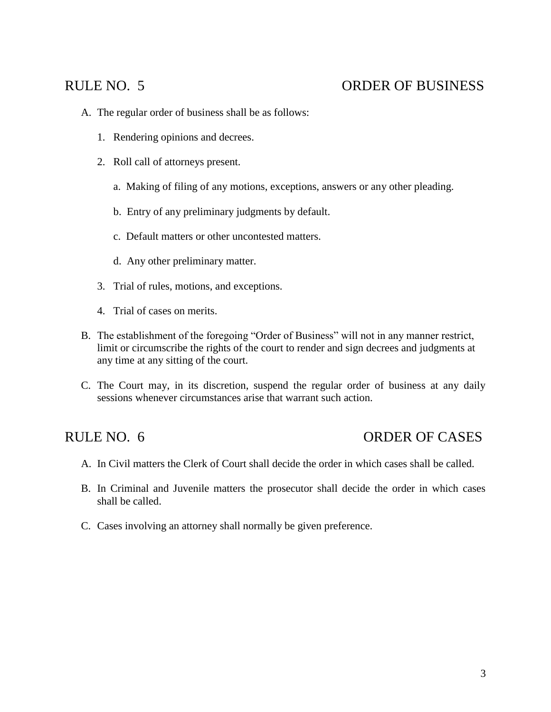# RULE NO. 5 ORDER OF BUSINESS

- A. The regular order of business shall be as follows:
	- 1. Rendering opinions and decrees.
	- 2. Roll call of attorneys present.
		- a. Making of filing of any motions, exceptions, answers or any other pleading.
		- b. Entry of any preliminary judgments by default.
		- c. Default matters or other uncontested matters.
		- d. Any other preliminary matter.
	- 3. Trial of rules, motions, and exceptions.
	- 4. Trial of cases on merits.
- B. The establishment of the foregoing "Order of Business" will not in any manner restrict, limit or circumscribe the rights of the court to render and sign decrees and judgments at any time at any sitting of the court.
- C. The Court may, in its discretion, suspend the regular order of business at any daily sessions whenever circumstances arise that warrant such action.

## RULE NO. 6 ORDER OF CASES

- A. In Civil matters the Clerk of Court shall decide the order in which cases shall be called.
- B. In Criminal and Juvenile matters the prosecutor shall decide the order in which cases shall be called.
- C. Cases involving an attorney shall normally be given preference.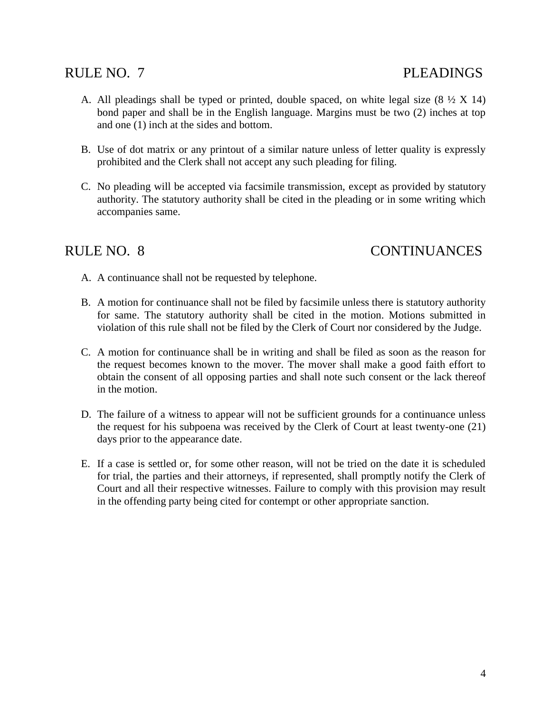## RULE NO. 7 PLEADINGS

- A. All pleadings shall be typed or printed, double spaced, on white legal size  $(8 \frac{1}{2} X 14)$ bond paper and shall be in the English language. Margins must be two (2) inches at top and one (1) inch at the sides and bottom.
- B. Use of dot matrix or any printout of a similar nature unless of letter quality is expressly prohibited and the Clerk shall not accept any such pleading for filing.
- C. No pleading will be accepted via facsimile transmission, except as provided by statutory authority. The statutory authority shall be cited in the pleading or in some writing which accompanies same.

## RULE NO. 8 CONTINUANCES

- A. A continuance shall not be requested by telephone.
- B. A motion for continuance shall not be filed by facsimile unless there is statutory authority for same. The statutory authority shall be cited in the motion. Motions submitted in violation of this rule shall not be filed by the Clerk of Court nor considered by the Judge.
- C. A motion for continuance shall be in writing and shall be filed as soon as the reason for the request becomes known to the mover. The mover shall make a good faith effort to obtain the consent of all opposing parties and shall note such consent or the lack thereof in the motion.
- D. The failure of a witness to appear will not be sufficient grounds for a continuance unless the request for his subpoena was received by the Clerk of Court at least twenty-one (21) days prior to the appearance date.
- E. If a case is settled or, for some other reason, will not be tried on the date it is scheduled for trial, the parties and their attorneys, if represented, shall promptly notify the Clerk of Court and all their respective witnesses. Failure to comply with this provision may result in the offending party being cited for contempt or other appropriate sanction.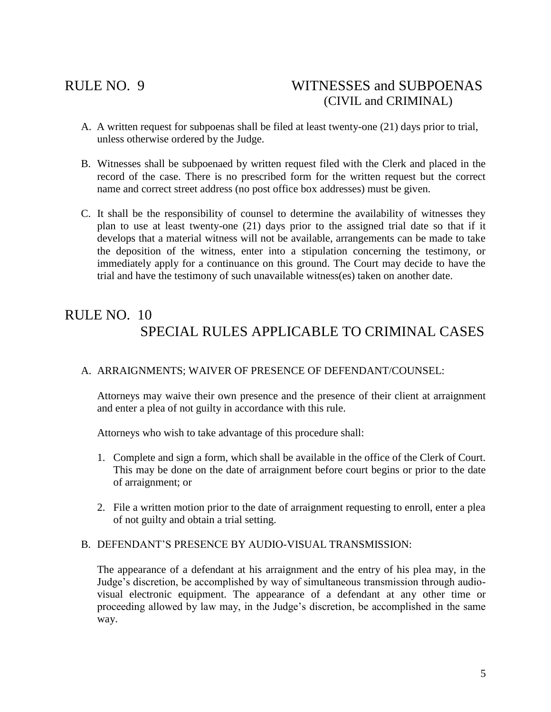## RULE NO. 9 WITNESSES and SUBPOENAS (CIVIL and CRIMINAL)

- A. A written request for subpoenas shall be filed at least twenty-one (21) days prior to trial, unless otherwise ordered by the Judge.
- B. Witnesses shall be subpoenaed by written request filed with the Clerk and placed in the record of the case. There is no prescribed form for the written request but the correct name and correct street address (no post office box addresses) must be given.
- C. It shall be the responsibility of counsel to determine the availability of witnesses they plan to use at least twenty-one (21) days prior to the assigned trial date so that if it develops that a material witness will not be available, arrangements can be made to take the deposition of the witness, enter into a stipulation concerning the testimony, or immediately apply for a continuance on this ground. The Court may decide to have the trial and have the testimony of such unavailable witness(es) taken on another date.

# RULE NO. 10 SPECIAL RULES APPLICABLE TO CRIMINAL CASES

### A. ARRAIGNMENTS; WAIVER OF PRESENCE OF DEFENDANT/COUNSEL:

Attorneys may waive their own presence and the presence of their client at arraignment and enter a plea of not guilty in accordance with this rule.

Attorneys who wish to take advantage of this procedure shall:

- 1. Complete and sign a form, which shall be available in the office of the Clerk of Court. This may be done on the date of arraignment before court begins or prior to the date of arraignment; or
- 2. File a written motion prior to the date of arraignment requesting to enroll, enter a plea of not guilty and obtain a trial setting.

#### B. DEFENDANT'S PRESENCE BY AUDIO-VISUAL TRANSMISSION:

The appearance of a defendant at his arraignment and the entry of his plea may, in the Judge's discretion, be accomplished by way of simultaneous transmission through audiovisual electronic equipment. The appearance of a defendant at any other time or proceeding allowed by law may, in the Judge's discretion, be accomplished in the same way.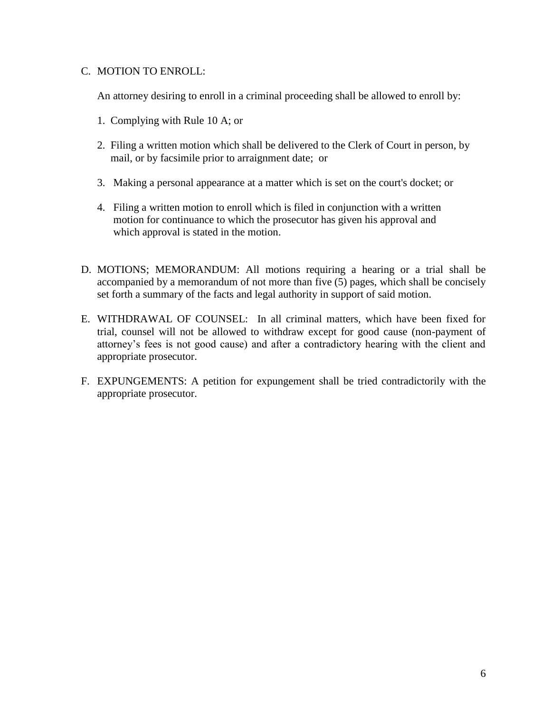### C. MOTION TO ENROLL:

An attorney desiring to enroll in a criminal proceeding shall be allowed to enroll by:

- 1. Complying with Rule 10 A; or
- 2. Filing a written motion which shall be delivered to the Clerk of Court in person, by mail, or by facsimile prior to arraignment date; or
- 3. Making a personal appearance at a matter which is set on the court's docket; or
- 4. Filing a written motion to enroll which is filed in conjunction with a written motion for continuance to which the prosecutor has given his approval and which approval is stated in the motion.
- D. MOTIONS; MEMORANDUM: All motions requiring a hearing or a trial shall be accompanied by a memorandum of not more than five (5) pages, which shall be concisely set forth a summary of the facts and legal authority in support of said motion.
- E. WITHDRAWAL OF COUNSEL: In all criminal matters, which have been fixed for trial, counsel will not be allowed to withdraw except for good cause (non-payment of attorney's fees is not good cause) and after a contradictory hearing with the client and appropriate prosecutor.
- F. EXPUNGEMENTS: A petition for expungement shall be tried contradictorily with the appropriate prosecutor.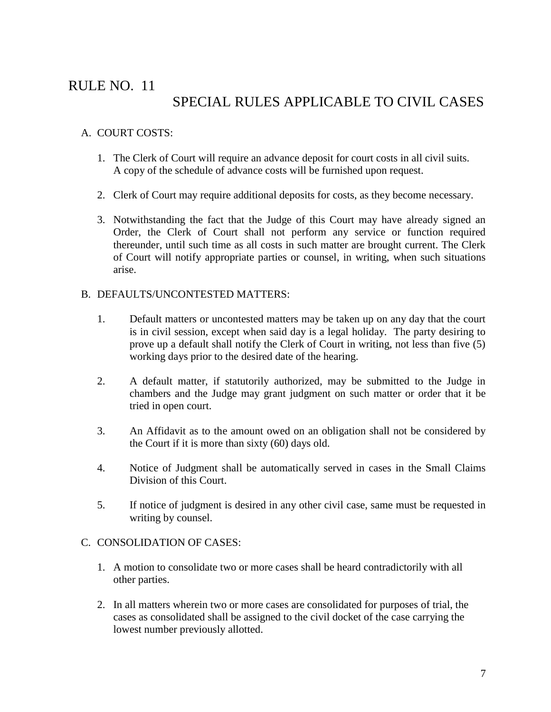# RULE NO. 11

# SPECIAL RULES APPLICABLE TO CIVIL CASES

### A. COURT COSTS:

- 1. The Clerk of Court will require an advance deposit for court costs in all civil suits. A copy of the schedule of advance costs will be furnished upon request.
- 2. Clerk of Court may require additional deposits for costs, as they become necessary.
- 3. Notwithstanding the fact that the Judge of this Court may have already signed an Order, the Clerk of Court shall not perform any service or function required thereunder, until such time as all costs in such matter are brought current. The Clerk of Court will notify appropriate parties or counsel, in writing, when such situations arise.

### B. DEFAULTS/UNCONTESTED MATTERS:

- 1. Default matters or uncontested matters may be taken up on any day that the court is in civil session, except when said day is a legal holiday. The party desiring to prove up a default shall notify the Clerk of Court in writing, not less than five (5) working days prior to the desired date of the hearing.
- 2. A default matter, if statutorily authorized, may be submitted to the Judge in chambers and the Judge may grant judgment on such matter or order that it be tried in open court.
- 3. An Affidavit as to the amount owed on an obligation shall not be considered by the Court if it is more than sixty (60) days old.
- 4. Notice of Judgment shall be automatically served in cases in the Small Claims Division of this Court.
- 5. If notice of judgment is desired in any other civil case, same must be requested in writing by counsel.

### C. CONSOLIDATION OF CASES:

- 1. A motion to consolidate two or more cases shall be heard contradictorily with all other parties.
- 2. In all matters wherein two or more cases are consolidated for purposes of trial, the cases as consolidated shall be assigned to the civil docket of the case carrying the lowest number previously allotted.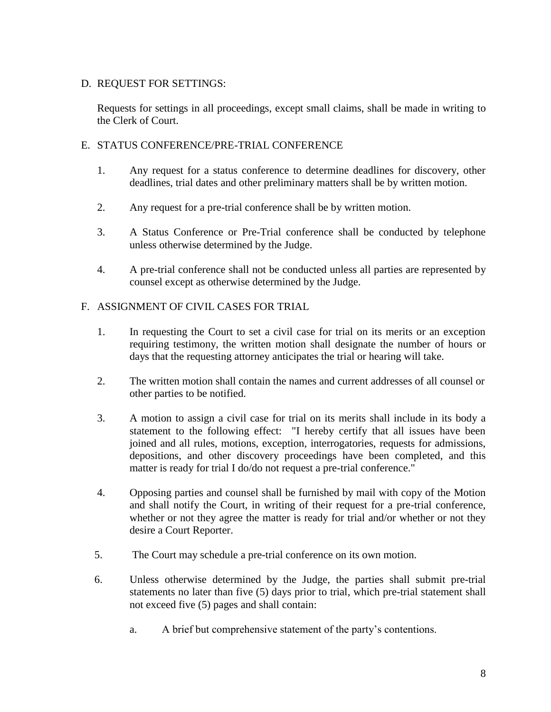### D. REQUEST FOR SETTINGS:

Requests for settings in all proceedings, except small claims, shall be made in writing to the Clerk of Court.

### E. STATUS CONFERENCE/PRE-TRIAL CONFERENCE

- 1. Any request for a status conference to determine deadlines for discovery, other deadlines, trial dates and other preliminary matters shall be by written motion.
- 2. Any request for a pre-trial conference shall be by written motion.
- 3. A Status Conference or Pre-Trial conference shall be conducted by telephone unless otherwise determined by the Judge.
- 4. A pre-trial conference shall not be conducted unless all parties are represented by counsel except as otherwise determined by the Judge.

### F. ASSIGNMENT OF CIVIL CASES FOR TRIAL

- 1. In requesting the Court to set a civil case for trial on its merits or an exception requiring testimony, the written motion shall designate the number of hours or days that the requesting attorney anticipates the trial or hearing will take.
- 2. The written motion shall contain the names and current addresses of all counsel or other parties to be notified.
- 3. A motion to assign a civil case for trial on its merits shall include in its body a statement to the following effect: "I hereby certify that all issues have been joined and all rules, motions, exception, interrogatories, requests for admissions, depositions, and other discovery proceedings have been completed, and this matter is ready for trial I do/do not request a pre-trial conference."
- 4. Opposing parties and counsel shall be furnished by mail with copy of the Motion and shall notify the Court, in writing of their request for a pre-trial conference, whether or not they agree the matter is ready for trial and/or whether or not they desire a Court Reporter.
- 5. The Court may schedule a pre-trial conference on its own motion.
- 6. Unless otherwise determined by the Judge, the parties shall submit pre-trial statements no later than five (5) days prior to trial, which pre-trial statement shall not exceed five (5) pages and shall contain:
	- a. A brief but comprehensive statement of the party's contentions.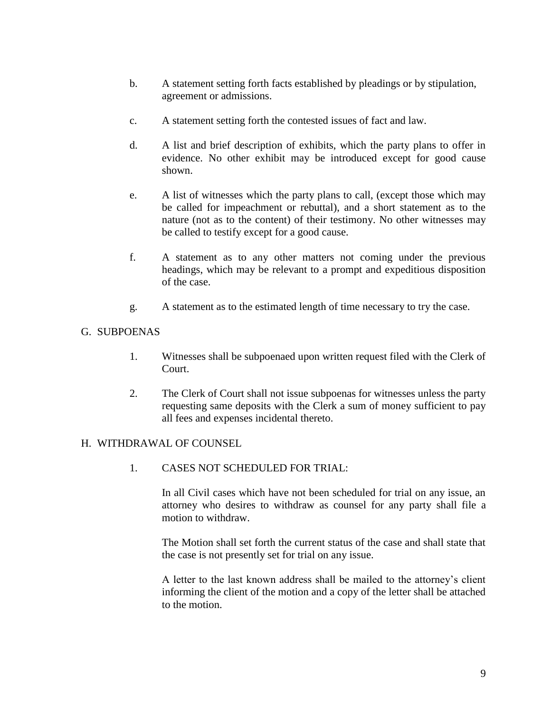- b. A statement setting forth facts established by pleadings or by stipulation, agreement or admissions.
- c. A statement setting forth the contested issues of fact and law.
- d. A list and brief description of exhibits, which the party plans to offer in evidence. No other exhibit may be introduced except for good cause shown.
- e. A list of witnesses which the party plans to call, (except those which may be called for impeachment or rebuttal), and a short statement as to the nature (not as to the content) of their testimony. No other witnesses may be called to testify except for a good cause.
- f. A statement as to any other matters not coming under the previous headings, which may be relevant to a prompt and expeditious disposition of the case.
- g. A statement as to the estimated length of time necessary to try the case.

### G. SUBPOENAS

- 1. Witnesses shall be subpoenaed upon written request filed with the Clerk of Court.
- 2. The Clerk of Court shall not issue subpoenas for witnesses unless the party requesting same deposits with the Clerk a sum of money sufficient to pay all fees and expenses incidental thereto.

#### H. WITHDRAWAL OF COUNSEL

1. CASES NOT SCHEDULED FOR TRIAL:

In all Civil cases which have not been scheduled for trial on any issue, an attorney who desires to withdraw as counsel for any party shall file a motion to withdraw.

The Motion shall set forth the current status of the case and shall state that the case is not presently set for trial on any issue.

A letter to the last known address shall be mailed to the attorney's client informing the client of the motion and a copy of the letter shall be attached to the motion.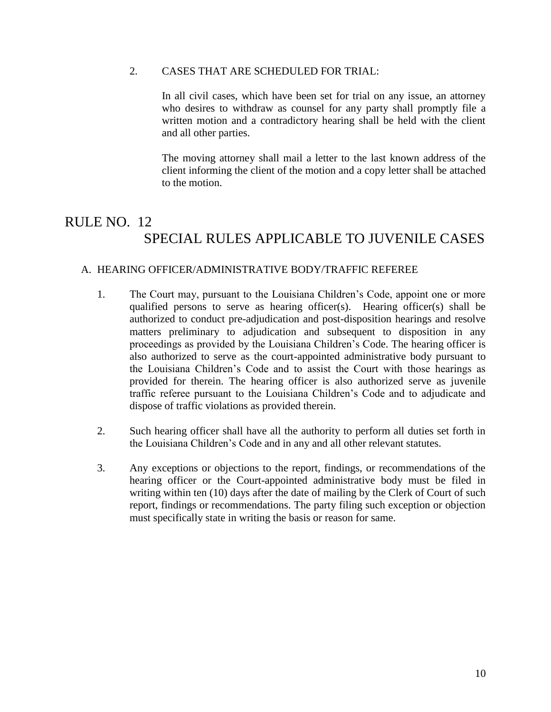#### 2. CASES THAT ARE SCHEDULED FOR TRIAL:

In all civil cases, which have been set for trial on any issue, an attorney who desires to withdraw as counsel for any party shall promptly file a written motion and a contradictory hearing shall be held with the client and all other parties.

The moving attorney shall mail a letter to the last known address of the client informing the client of the motion and a copy letter shall be attached to the motion.

# RULE NO. 12 SPECIAL RULES APPLICABLE TO JUVENILE CASES

### A. HEARING OFFICER/ADMINISTRATIVE BODY/TRAFFIC REFEREE

- 1. The Court may, pursuant to the Louisiana Children's Code, appoint one or more qualified persons to serve as hearing officer(s). Hearing officer(s) shall be authorized to conduct pre-adjudication and post-disposition hearings and resolve matters preliminary to adjudication and subsequent to disposition in any proceedings as provided by the Louisiana Children's Code. The hearing officer is also authorized to serve as the court-appointed administrative body pursuant to the Louisiana Children's Code and to assist the Court with those hearings as provided for therein. The hearing officer is also authorized serve as juvenile traffic referee pursuant to the Louisiana Children's Code and to adjudicate and dispose of traffic violations as provided therein.
- 2. Such hearing officer shall have all the authority to perform all duties set forth in the Louisiana Children's Code and in any and all other relevant statutes.
- 3. Any exceptions or objections to the report, findings, or recommendations of the hearing officer or the Court-appointed administrative body must be filed in writing within ten (10) days after the date of mailing by the Clerk of Court of such report, findings or recommendations. The party filing such exception or objection must specifically state in writing the basis or reason for same.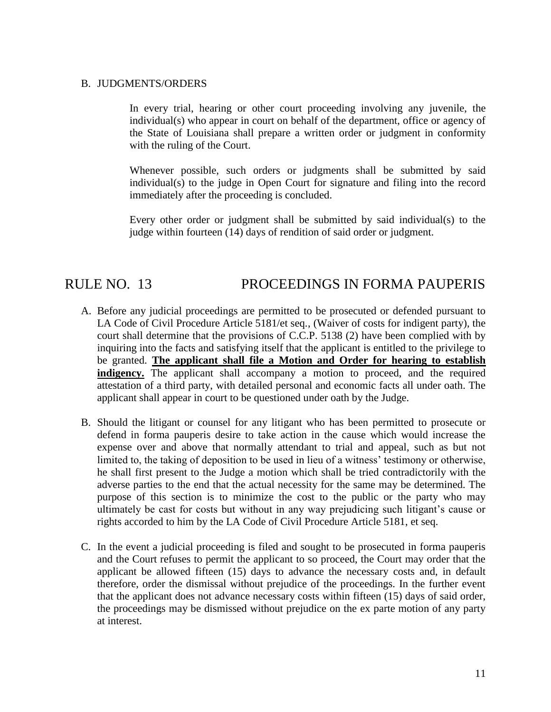#### B. JUDGMENTS/ORDERS

In every trial, hearing or other court proceeding involving any juvenile, the individual(s) who appear in court on behalf of the department, office or agency of the State of Louisiana shall prepare a written order or judgment in conformity with the ruling of the Court.

Whenever possible, such orders or judgments shall be submitted by said individual(s) to the judge in Open Court for signature and filing into the record immediately after the proceeding is concluded.

Every other order or judgment shall be submitted by said individual(s) to the judge within fourteen (14) days of rendition of said order or judgment.

## RULE NO. 13 PROCEEDINGS IN FORMA PAUPERIS

- A. Before any judicial proceedings are permitted to be prosecuted or defended pursuant to LA Code of Civil Procedure Article 5181/et seq., (Waiver of costs for indigent party), the court shall determine that the provisions of C.C.P. 5138 (2) have been complied with by inquiring into the facts and satisfying itself that the applicant is entitled to the privilege to be granted. **The applicant shall file a Motion and Order for hearing to establish indigency.** The applicant shall accompany a motion to proceed, and the required attestation of a third party, with detailed personal and economic facts all under oath. The applicant shall appear in court to be questioned under oath by the Judge.
- B. Should the litigant or counsel for any litigant who has been permitted to prosecute or defend in forma pauperis desire to take action in the cause which would increase the expense over and above that normally attendant to trial and appeal, such as but not limited to, the taking of deposition to be used in lieu of a witness' testimony or otherwise, he shall first present to the Judge a motion which shall be tried contradictorily with the adverse parties to the end that the actual necessity for the same may be determined. The purpose of this section is to minimize the cost to the public or the party who may ultimately be cast for costs but without in any way prejudicing such litigant's cause or rights accorded to him by the LA Code of Civil Procedure Article 5181, et seq.
- C. In the event a judicial proceeding is filed and sought to be prosecuted in forma pauperis and the Court refuses to permit the applicant to so proceed, the Court may order that the applicant be allowed fifteen (15) days to advance the necessary costs and, in default therefore, order the dismissal without prejudice of the proceedings. In the further event that the applicant does not advance necessary costs within fifteen (15) days of said order, the proceedings may be dismissed without prejudice on the ex parte motion of any party at interest.